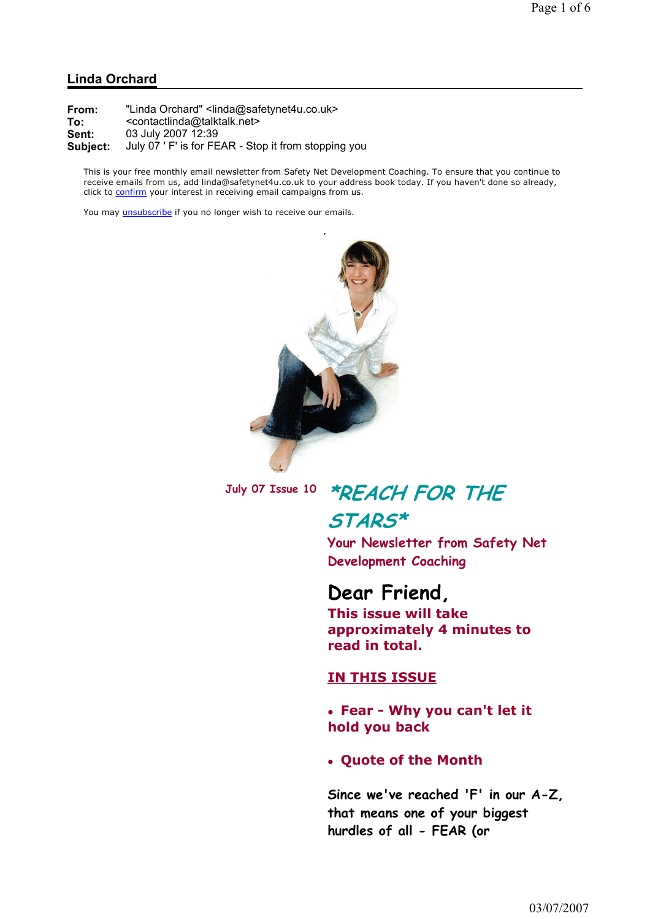#### Linda Orchard

From: "Linda Orchard" <linda@safetynet4u.co.uk> To: <contactlinda@talktalk.net> Sent: 03 July 2007 12:39 Subject: July 07 ' F' is for FEAR - Stop it from stopping you

This is your free monthly email newsletter from Safety Net Development Coaching. To ensure that you continue to receive emails from us, add linda@safetynet4u.co.uk to your address book today. If you haven't done so already, click to confirm your interest in receiving email campaigns from us.

You may *unsubscribe* if you no longer wish to receive our emails.



July 07 Issue 10 \*REACH FOR THE STARS\*

> Your Newsletter from Safety Net Development Coaching

### Dear Friend,

This issue will take approximately 4 minutes to read in total.

#### IN THIS ISSUE

 Fear - Why you can't let it hold you back

#### Quote of the Month

Since we've reached 'F' in our A-Z, that means one of your biggest hurdles of all - FEAR (or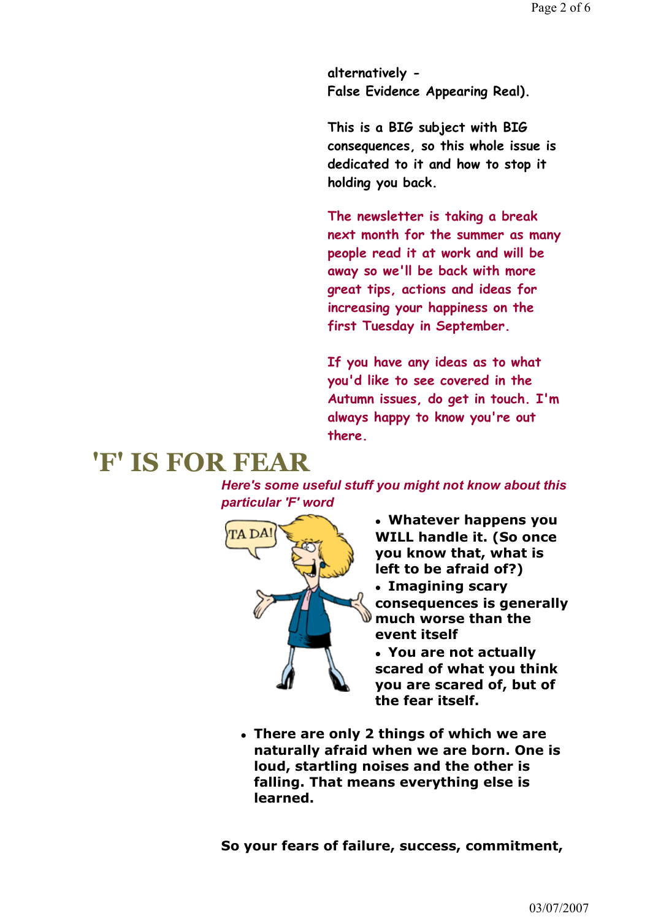alternatively - False Evidence Appearing Real).

This is a BIG subject with BIG consequences, so this whole issue is dedicated to it and how to stop it holding you back.

The newsletter is taking a break next month for the summer as many people read it at work and will be away so we'll be back with more great tips, actions and ideas for increasing your happiness on the first Tuesday in September.

If you have any ideas as to what you'd like to see covered in the Autumn issues, do get in touch. I'm always happy to know you're out there.

# 'F' IS FOR FEAR

Here's some useful stuff you might not know about this particular 'F' word



 Whatever happens you WILL handle it. (So once you know that, what is left to be afraid of?)

 Imagining scary consequences is generally much worse than the event itself

 You are not actually scared of what you think you are scared of, but of the fear itself.

 There are only 2 things of which we are naturally afraid when we are born. One is loud, startling noises and the other is falling. That means everything else is learned.

So your fears of failure, success, commitment,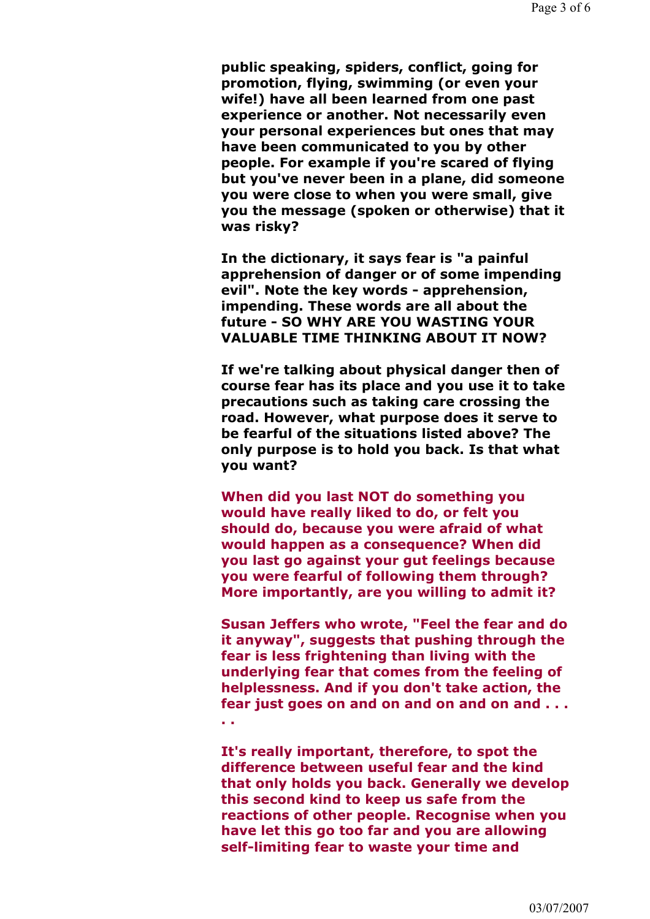public speaking, spiders, conflict, going for promotion, flying, swimming (or even your wife!) have all been learned from one past experience or another. Not necessarily even your personal experiences but ones that may have been communicated to you by other people. For example if you're scared of flying but you've never been in a plane, did someone you were close to when you were small, give you the message (spoken or otherwise) that it was risky?

In the dictionary, it says fear is "a painful apprehension of danger or of some impending evil". Note the key words - apprehension, impending. These words are all about the future - SO WHY ARE YOU WASTING YOUR VALUABLE TIME THINKING ABOUT IT NOW?

If we're talking about physical danger then of course fear has its place and you use it to take precautions such as taking care crossing the road. However, what purpose does it serve to be fearful of the situations listed above? The only purpose is to hold you back. Is that what you want?

When did you last NOT do something you would have really liked to do, or felt you should do, because you were afraid of what would happen as a consequence? When did you last go against your gut feelings because you were fearful of following them through? More importantly, are you willing to admit it?

Susan Jeffers who wrote, "Feel the fear and do it anyway", suggests that pushing through the fear is less frightening than living with the underlying fear that comes from the feeling of helplessness. And if you don't take action, the fear just goes on and on and on and on and  $\dots$ 

. .

It's really important, therefore, to spot the difference between useful fear and the kind that only holds you back. Generally we develop this second kind to keep us safe from the reactions of other people. Recognise when you have let this go too far and you are allowing self-limiting fear to waste your time and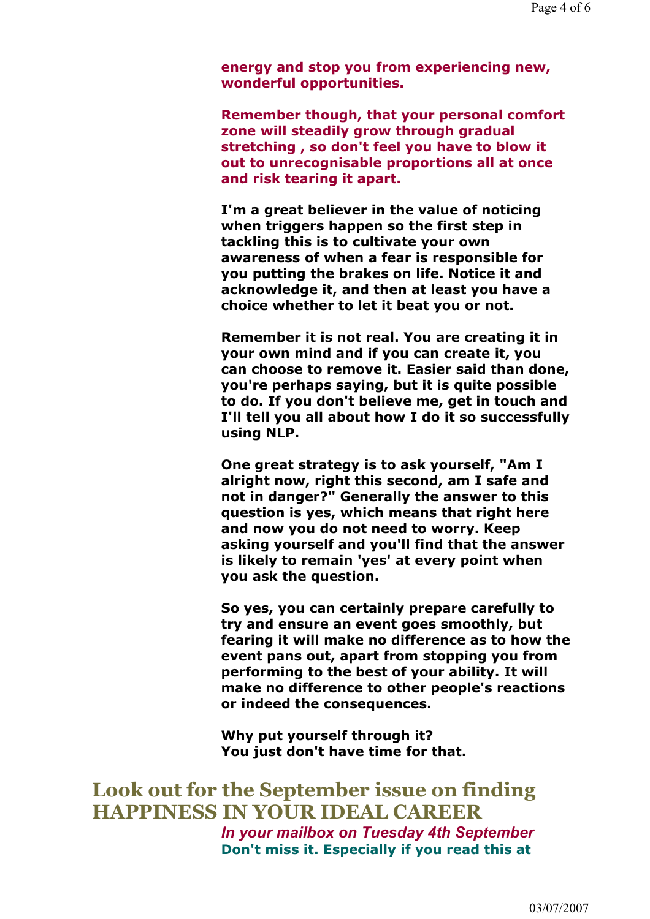energy and stop you from experiencing new, wonderful opportunities.

Remember though, that your personal comfort zone will steadily grow through gradual stretching , so don't feel you have to blow it out to unrecognisable proportions all at once and risk tearing it apart.

I'm a great believer in the value of noticing when triggers happen so the first step in tackling this is to cultivate your own awareness of when a fear is responsible for you putting the brakes on life. Notice it and acknowledge it, and then at least you have a choice whether to let it beat you or not.

Remember it is not real. You are creating it in your own mind and if you can create it, you can choose to remove it. Easier said than done, you're perhaps saying, but it is quite possible to do. If you don't believe me, get in touch and I'll tell you all about how I do it so successfully using NLP.

One great strategy is to ask yourself, "Am I alright now, right this second, am I safe and not in danger?" Generally the answer to this question is yes, which means that right here and now you do not need to worry. Keep asking yourself and you'll find that the answer is likely to remain 'yes' at every point when you ask the question.

So yes, you can certainly prepare carefully to try and ensure an event goes smoothly, but fearing it will make no difference as to how the event pans out, apart from stopping you from performing to the best of your ability. It will make no difference to other people's reactions or indeed the consequences.

Why put yourself through it? You just don't have time for that.

Look out for the September issue on finding HAPPINESS IN YOUR IDEAL CAREER In your mailbox on Tuesday 4th September Don't miss it. Especially if you read this at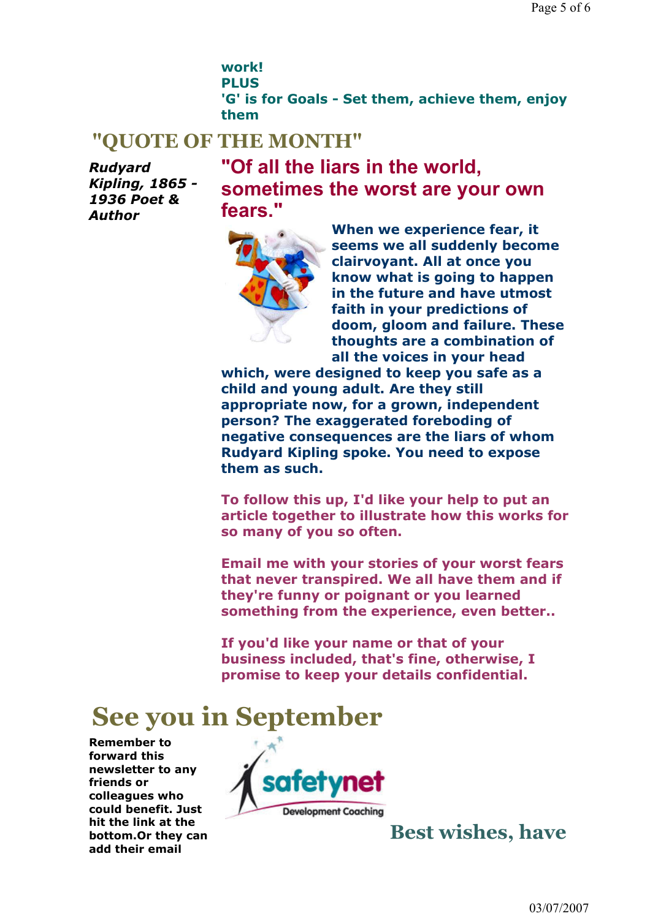work! PLUS 'G' is for Goals - Set them, achieve them, enjoy them

## "QUOTE OF THE MONTH"

Rudyard Kipling, 1865 - 1936 Poet & Author

"Of all the liars in the world, sometimes the worst are your own fears."



When we experience fear, it seems we all suddenly become clairvoyant. All at once you know what is going to happen in the future and have utmost faith in your predictions of doom, gloom and failure. These thoughts are a combination of all the voices in your head

which, were designed to keep you safe as a child and young adult. Are they still appropriate now, for a grown, independent person? The exaggerated foreboding of negative consequences are the liars of whom Rudyard Kipling spoke. You need to expose them as such.

To follow this up, I'd like your help to put an article together to illustrate how this works for so many of you so often.

Email me with your stories of your worst fears that never transpired. We all have them and if they're funny or poignant or you learned something from the experience, even better..

If you'd like your name or that of your business included, that's fine, otherwise, I promise to keep your details confidential.

## See you in September

Remember to forward this newsletter to any friends or colleagues who could benefit. Just hit the link at the bottom.Or they can add their email



Best wishes, have